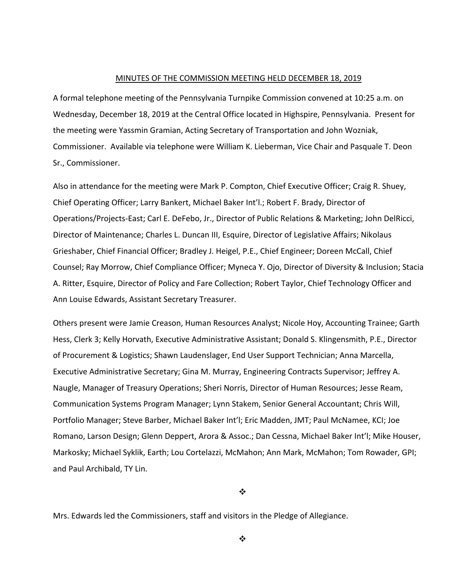#### MINUTES OF THE COMMISSION MEETING HELD DECEMBER 18, 2019

A formal telephone meeting of the Pennsylvania Turnpike Commission convened at 10:25 a.m. on Wednesday, December 18, 2019 at the Central Office located in Highspire, Pennsylvania. Present for the meeting were Yassmin Gramian, Acting Secretary of Transportation and John Wozniak, Commissioner. Available via telephone were William K. Lieberman, Vice Chair and Pasquale T. Deon Sr., Commissioner.

Also in attendance for the meeting were Mark P. Compton, Chief Executive Officer; Craig R. Shuey, Chief Operating Officer; Larry Bankert, Michael Baker Int'l.; Robert F. Brady, Director of Operations/Projects‐East; Carl E. DeFebo, Jr., Director of Public Relations & Marketing; John DelRicci, Director of Maintenance; Charles L. Duncan III, Esquire, Director of Legislative Affairs; Nikolaus Grieshaber, Chief Financial Officer; Bradley J. Heigel, P.E., Chief Engineer; Doreen McCall, Chief Counsel; Ray Morrow, Chief Compliance Officer; Myneca Y. Ojo, Director of Diversity & Inclusion; Stacia A. Ritter, Esquire, Director of Policy and Fare Collection; Robert Taylor, Chief Technology Officer and Ann Louise Edwards, Assistant Secretary Treasurer.

Others present were Jamie Creason, Human Resources Analyst; Nicole Hoy, Accounting Trainee; Garth Hess, Clerk 3; Kelly Horvath, Executive Administrative Assistant; Donald S. Klingensmith, P.E., Director of Procurement & Logistics; Shawn Laudenslager, End User Support Technician; Anna Marcella, Executive Administrative Secretary; Gina M. Murray, Engineering Contracts Supervisor; Jeffrey A. Naugle, Manager of Treasury Operations; Sheri Norris, Director of Human Resources; Jesse Ream, Communication Systems Program Manager; Lynn Stakem, Senior General Accountant; Chris Will, Portfolio Manager; Steve Barber, Michael Baker Int'l; Eric Madden, JMT; Paul McNamee, KCI; Joe Romano, Larson Design; Glenn Deppert, Arora & Assoc.; Dan Cessna, Michael Baker Int'l; Mike Houser, Markosky; Michael Syklik, Earth; Lou Cortelazzi, McMahon; Ann Mark, McMahon; Tom Rowader, GPI; and Paul Archibald, TY Lin.

#### ❖

Mrs. Edwards led the Commissioners, staff and visitors in the Pledge of Allegiance.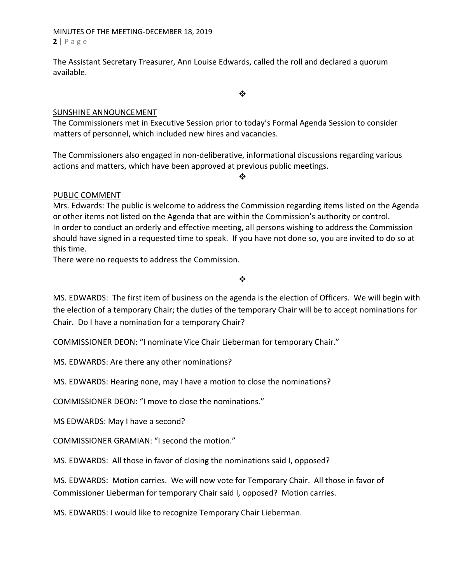## MINUTES OF THE MEETING‐DECEMBER 18, 2019 **2** | Page

The Assistant Secretary Treasurer, Ann Louise Edwards, called the roll and declared a quorum available.

 $\cdot$ 

#### SUNSHINE ANNOUNCEMENT

The Commissioners met in Executive Session prior to today's Formal Agenda Session to consider matters of personnel, which included new hires and vacancies.

The Commissioners also engaged in non‐deliberative, informational discussions regarding various actions and matters, which have been approved at previous public meetings.

❖

# PUBLIC COMMENT

Mrs. Edwards: The public is welcome to address the Commission regarding items listed on the Agenda or other items not listed on the Agenda that are within the Commission's authority or control. In order to conduct an orderly and effective meeting, all persons wishing to address the Commission should have signed in a requested time to speak. If you have not done so, you are invited to do so at this time.

There were no requests to address the Commission.

 $\frac{1}{2}$ 

MS. EDWARDS: The first item of business on the agenda is the election of Officers. We will begin with the election of a temporary Chair; the duties of the temporary Chair will be to accept nominations for Chair. Do I have a nomination for a temporary Chair?

COMMISSIONER DEON: "I nominate Vice Chair Lieberman for temporary Chair."

MS. EDWARDS: Are there any other nominations?

MS. EDWARDS: Hearing none, may I have a motion to close the nominations?

COMMISSIONER DEON: "I move to close the nominations."

MS EDWARDS: May I have a second?

COMMISSIONER GRAMIAN: "I second the motion."

MS. EDWARDS: All those in favor of closing the nominations said I, opposed?

MS. EDWARDS: Motion carries. We will now vote for Temporary Chair. All those in favor of Commissioner Lieberman for temporary Chair said I, opposed? Motion carries.

MS. EDWARDS: I would like to recognize Temporary Chair Lieberman.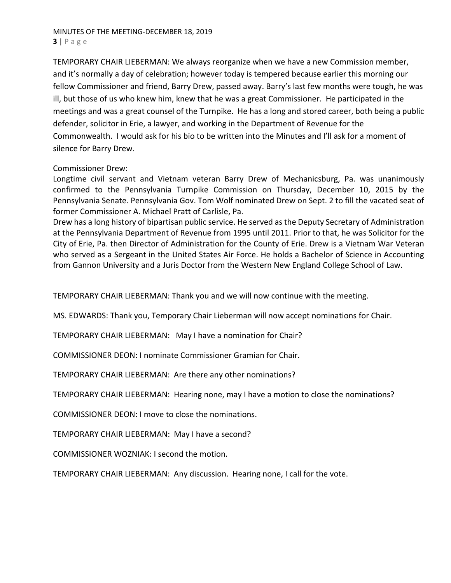# MINUTES OF THE MEETING‐DECEMBER 18, 2019 **3** | Page

TEMPORARY CHAIR LIEBERMAN: We always reorganize when we have a new Commission member, and it's normally a day of celebration; however today is tempered because earlier this morning our fellow Commissioner and friend, Barry Drew, passed away. Barry's last few months were tough, he was ill, but those of us who knew him, knew that he was a great Commissioner. He participated in the meetings and was a great counsel of the Turnpike. He has a long and stored career, both being a public defender, solicitor in Erie, a lawyer, and working in the Department of Revenue for the Commonwealth. I would ask for his bio to be written into the Minutes and I'll ask for a moment of silence for Barry Drew.

# Commissioner Drew:

Longtime civil servant and Vietnam veteran Barry Drew of Mechanicsburg, Pa. was unanimously confirmed to the Pennsylvania Turnpike Commission on Thursday, December 10, 2015 by the Pennsylvania Senate. Pennsylvania Gov. Tom Wolf nominated Drew on Sept. 2 to fill the vacated seat of former Commissioner A. Michael Pratt of Carlisle, Pa.

Drew has a long history of bipartisan public service. He served as the Deputy Secretary of Administration at the Pennsylvania Department of Revenue from 1995 until 2011. Prior to that, he was Solicitor for the City of Erie, Pa. then Director of Administration for the County of Erie. Drew is a Vietnam War Veteran who served as a Sergeant in the United States Air Force. He holds a Bachelor of Science in Accounting from Gannon University and a Juris Doctor from the Western New England College School of Law.

TEMPORARY CHAIR LIEBERMAN: Thank you and we will now continue with the meeting.

MS. EDWARDS: Thank you, Temporary Chair Lieberman will now accept nominations for Chair.

TEMPORARY CHAIR LIEBERMAN: May I have a nomination for Chair?

COMMISSIONER DEON: I nominate Commissioner Gramian for Chair.

TEMPORARY CHAIR LIEBERMAN: Are there any other nominations?

TEMPORARY CHAIR LIEBERMAN: Hearing none, may I have a motion to close the nominations?

COMMISSIONER DEON: I move to close the nominations.

TEMPORARY CHAIR LIEBERMAN: May I have a second?

COMMISSIONER WOZNIAK: I second the motion.

TEMPORARY CHAIR LIEBERMAN: Any discussion. Hearing none, I call for the vote.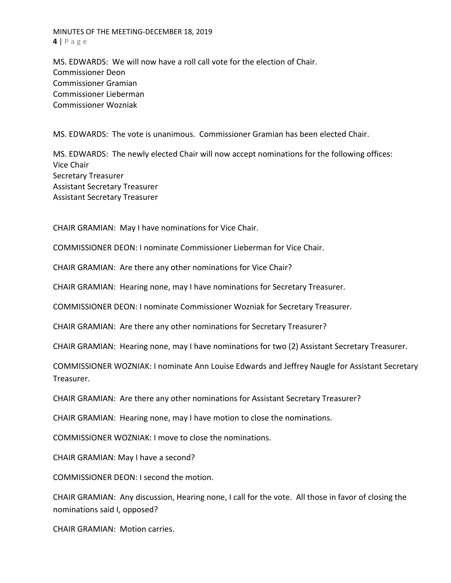MINUTES OF THE MEETING‐DECEMBER 18, 2019 **4** | Page

MS. EDWARDS: We will now have a roll call vote for the election of Chair. Commissioner Deon Commissioner Gramian Commissioner Lieberman Commissioner Wozniak

MS. EDWARDS: The vote is unanimous. Commissioner Gramian has been elected Chair.

MS. EDWARDS: The newly elected Chair will now accept nominations for the following offices: Vice Chair Secretary Treasurer Assistant Secretary Treasurer Assistant Secretary Treasurer

CHAIR GRAMIAN: May I have nominations for Vice Chair.

COMMISSIONER DEON: I nominate Commissioner Lieberman for Vice Chair.

CHAIR GRAMIAN: Are there any other nominations for Vice Chair?

CHAIR GRAMIAN: Hearing none, may I have nominations for Secretary Treasurer.

COMMISSIONER DEON: I nominate Commissioner Wozniak for Secretary Treasurer.

CHAIR GRAMIAN: Are there any other nominations for Secretary Treasurer?

CHAIR GRAMIAN: Hearing none, may I have nominations for two (2) Assistant Secretary Treasurer.

COMMISSIONER WOZNIAK: I nominate Ann Louise Edwards and Jeffrey Naugle for Assistant Secretary Treasurer.

CHAIR GRAMIAN: Are there any other nominations for Assistant Secretary Treasurer?

CHAIR GRAMIAN: Hearing none, may I have motion to close the nominations.

COMMISSIONER WOZNIAK: I move to close the nominations.

CHAIR GRAMIAN: May I have a second?

COMMISSIONER DEON: I second the motion.

CHAIR GRAMIAN: Any discussion, Hearing none, I call for the vote. All those in favor of closing the nominations said I, opposed?

CHAIR GRAMIAN: Motion carries.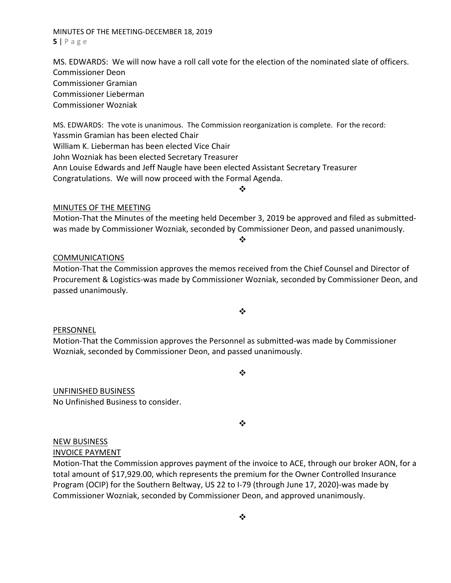❖

MINUTES OF THE MEETING‐DECEMBER 18, 2019 **5** | Page

MS. EDWARDS: We will now have a roll call vote for the election of the nominated slate of officers. Commissioner Deon Commissioner Gramian Commissioner Lieberman Commissioner Wozniak

MS. EDWARDS: The vote is unanimous. The Commission reorganization is complete. For the record: Yassmin Gramian has been elected Chair William K. Lieberman has been elected Vice Chair John Wozniak has been elected Secretary Treasurer Ann Louise Edwards and Jeff Naugle have been elected Assistant Secretary Treasurer Congratulations. We will now proceed with the Formal Agenda.

#### MINUTES OF THE MEETING

Motion‐That the Minutes of the meeting held December 3, 2019 be approved and filed as submitted‐ was made by Commissioner Wozniak, seconded by Commissioner Deon, and passed unanimously.

 $\frac{1}{2}$ 

❖

#### **COMMUNICATIONS**

Motion‐That the Commission approves the memos received from the Chief Counsel and Director of Procurement & Logistics‐was made by Commissioner Wozniak, seconded by Commissioner Deon, and passed unanimously.

 $\bullet \bullet$ 

## PERSONNEL

Motion‐That the Commission approves the Personnel as submitted‐was made by Commissioner Wozniak, seconded by Commissioner Deon, and passed unanimously.

 $\cdot$ 

❖

# UNFINISHED BUSINESS

No Unfinished Business to consider.

NEW BUSINESS

INVOICE PAYMENT

Motion‐That the Commission approves payment of the invoice to ACE, through our broker AON, for a total amount of \$17,929.00, which represents the premium for the Owner Controlled Insurance Program (OCIP) for the Southern Beltway, US 22 to I‐79 (through June 17, 2020)‐was made by Commissioner Wozniak, seconded by Commissioner Deon, and approved unanimously.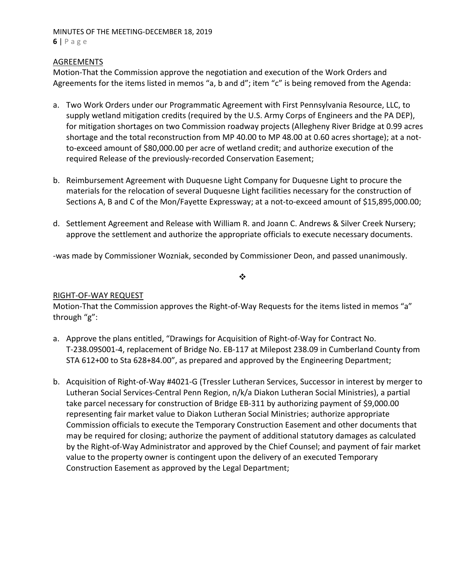#### MINUTES OF THE MEETING‐DECEMBER 18, 2019 **6** | Page

## **AGREEMENTS**

Motion‐That the Commission approve the negotiation and execution of the Work Orders and Agreements for the items listed in memos "a, b and d"; item "c" is being removed from the Agenda:

- a. Two Work Orders under our Programmatic Agreement with First Pennsylvania Resource, LLC, to supply wetland mitigation credits (required by the U.S. Army Corps of Engineers and the PA DEP), for mitigation shortages on two Commission roadway projects (Allegheny River Bridge at 0.99 acres shortage and the total reconstruction from MP 40.00 to MP 48.00 at 0.60 acres shortage); at a not‐ to-exceed amount of \$80,000.00 per acre of wetland credit; and authorize execution of the required Release of the previously‐recorded Conservation Easement;
- b. Reimbursement Agreement with Duquesne Light Company for Duquesne Light to procure the materials for the relocation of several Duquesne Light facilities necessary for the construction of Sections A, B and C of the Mon/Fayette Expressway; at a not-to-exceed amount of \$15,895,000.00;
- d. Settlement Agreement and Release with William R. and Joann C. Andrews & Silver Creek Nursery; approve the settlement and authorize the appropriate officials to execute necessary documents.

‐was made by Commissioner Wozniak, seconded by Commissioner Deon, and passed unanimously.

❖

## RIGHT‐OF‐WAY REQUEST

Motion-That the Commission approves the Right-of-Way Requests for the items listed in memos "a" through "g":

- a. Approve the plans entitled, "Drawings for Acquisition of Right‐of‐Way for Contract No. T‐238.09S001‐4, replacement of Bridge No. EB‐117 at Milepost 238.09 in Cumberland County from STA 612+00 to Sta 628+84.00", as prepared and approved by the Engineering Department;
- b. Acquisition of Right‐of‐Way #4021‐G (Tressler Lutheran Services, Successor in interest by merger to Lutheran Social Services‐Central Penn Region, n/k/a Diakon Lutheran Social Ministries), a partial take parcel necessary for construction of Bridge EB‐311 by authorizing payment of \$9,000.00 representing fair market value to Diakon Lutheran Social Ministries; authorize appropriate Commission officials to execute the Temporary Construction Easement and other documents that may be required for closing; authorize the payment of additional statutory damages as calculated by the Right‐of‐Way Administrator and approved by the Chief Counsel; and payment of fair market value to the property owner is contingent upon the delivery of an executed Temporary Construction Easement as approved by the Legal Department;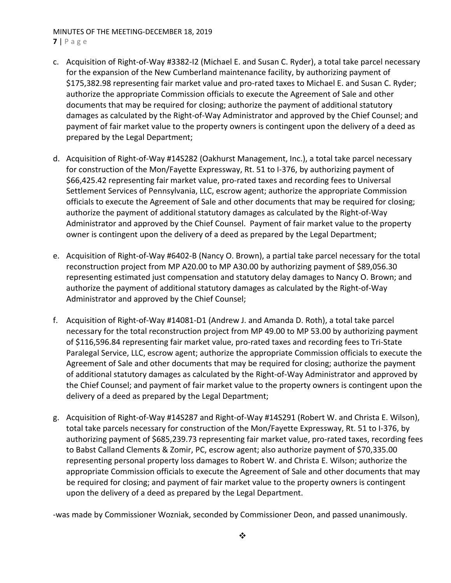# MINUTES OF THE MEETING‐DECEMBER 18, 2019

#### **7** | Page

- c. Acquisition of Right‐of‐Way #3382‐I2 (Michael E. and Susan C. Ryder), a total take parcel necessary for the expansion of the New Cumberland maintenance facility, by authorizing payment of \$175,382.98 representing fair market value and pro‐rated taxes to Michael E. and Susan C. Ryder; authorize the appropriate Commission officials to execute the Agreement of Sale and other documents that may be required for closing; authorize the payment of additional statutory damages as calculated by the Right‐of‐Way Administrator and approved by the Chief Counsel; and payment of fair market value to the property owners is contingent upon the delivery of a deed as prepared by the Legal Department;
- d. Acquisition of Right‐of‐Way #14S282 (Oakhurst Management, Inc.), a total take parcel necessary for construction of the Mon/Fayette Expressway, Rt. 51 to I‐376, by authorizing payment of \$66,425.42 representing fair market value, pro‐rated taxes and recording fees to Universal Settlement Services of Pennsylvania, LLC, escrow agent; authorize the appropriate Commission officials to execute the Agreement of Sale and other documents that may be required for closing; authorize the payment of additional statutory damages as calculated by the Right‐of‐Way Administrator and approved by the Chief Counsel. Payment of fair market value to the property owner is contingent upon the delivery of a deed as prepared by the Legal Department;
- e. Acquisition of Right‐of‐Way #6402‐B (Nancy O. Brown), a partial take parcel necessary for the total reconstruction project from MP A20.00 to MP A30.00 by authorizing payment of \$89,056.30 representing estimated just compensation and statutory delay damages to Nancy O. Brown; and authorize the payment of additional statutory damages as calculated by the Right‐of‐Way Administrator and approved by the Chief Counsel;
- f. Acquisition of Right‐of‐Way #14081‐D1 (Andrew J. and Amanda D. Roth), a total take parcel necessary for the total reconstruction project from MP 49.00 to MP 53.00 by authorizing payment of \$116,596.84 representing fair market value, pro‐rated taxes and recording fees to Tri‐State Paralegal Service, LLC, escrow agent; authorize the appropriate Commission officials to execute the Agreement of Sale and other documents that may be required for closing; authorize the payment of additional statutory damages as calculated by the Right‐of‐Way Administrator and approved by the Chief Counsel; and payment of fair market value to the property owners is contingent upon the delivery of a deed as prepared by the Legal Department;
- g. Acquisition of Right‐of‐Way #14S287 and Right‐of‐Way #14S291 (Robert W. and Christa E. Wilson), total take parcels necessary for construction of the Mon/Fayette Expressway, Rt. 51 to I‐376, by authorizing payment of \$685,239.73 representing fair market value, pro‐rated taxes, recording fees to Babst Calland Clements & Zomir, PC, escrow agent; also authorize payment of \$70,335.00 representing personal property loss damages to Robert W. and Christa E. Wilson; authorize the appropriate Commission officials to execute the Agreement of Sale and other documents that may be required for closing; and payment of fair market value to the property owners is contingent upon the delivery of a deed as prepared by the Legal Department.

‐was made by Commissioner Wozniak, seconded by Commissioner Deon, and passed unanimously.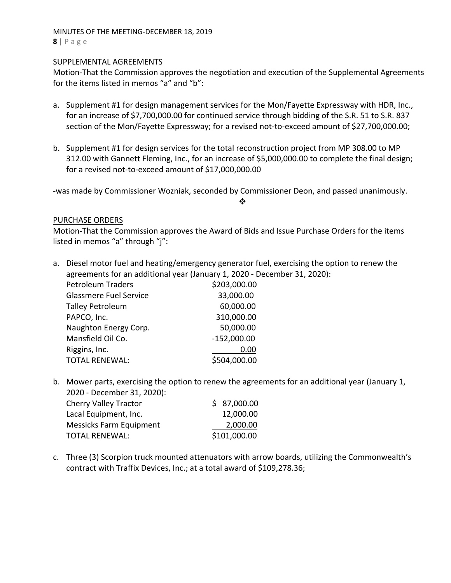#### MINUTES OF THE MEETING‐DECEMBER 18, 2019 **8** | Page

#### SUPPLEMENTAL AGREEMENTS

Motion‐That the Commission approves the negotiation and execution of the Supplemental Agreements for the items listed in memos "a" and "b":

- a. Supplement #1 for design management services for the Mon/Fayette Expressway with HDR, Inc., for an increase of \$7,700,000.00 for continued service through bidding of the S.R. 51 to S.R. 837 section of the Mon/Fayette Expressway; for a revised not-to-exceed amount of \$27,700,000.00;
- b. Supplement #1 for design services for the total reconstruction project from MP 308.00 to MP 312.00 with Gannett Fleming, Inc., for an increase of \$5,000,000.00 to complete the final design; for a revised not‐to‐exceed amount of \$17,000,000.00

‐was made by Commissioner Wozniak, seconded by Commissioner Deon, and passed unanimously.

❖

## PURCHASE ORDERS

Motion‐That the Commission approves the Award of Bids and Issue Purchase Orders for the items listed in memos "a" through "j":

- a. Diesel motor fuel and heating/emergency generator fuel, exercising the option to renew the agreements for an additional year (January 1, 2020 ‐ December 31, 2020): Petroleum Traders \$203,000.00 Glassmere Fuel Service 33,000.00 Talley Petroleum 60,000.00 PAPCO, Inc. 310,000.00 Naughton Energy Corp. 66 and 50,000.00 Mansfield Oil Co. ‐152,000.00 Riggins, Inc. 0.00 TOTAL RENEWAL:  $$504,000.00$
- b. Mower parts, exercising the option to renew the agreements for an additional year (January 1, 2020 ‐ December 31, 2020):

| <b>Cherry Valley Tractor</b>   | \$7,000.00   |
|--------------------------------|--------------|
| Lacal Equipment, Inc.          | 12,000.00    |
| <b>Messicks Farm Equipment</b> | 2,000.00     |
| <b>TOTAL RENEWAL:</b>          | \$101,000.00 |
|                                |              |

c. Three (3) Scorpion truck mounted attenuators with arrow boards, utilizing the Commonwealth's contract with Traffix Devices, Inc.; at a total award of \$109,278.36;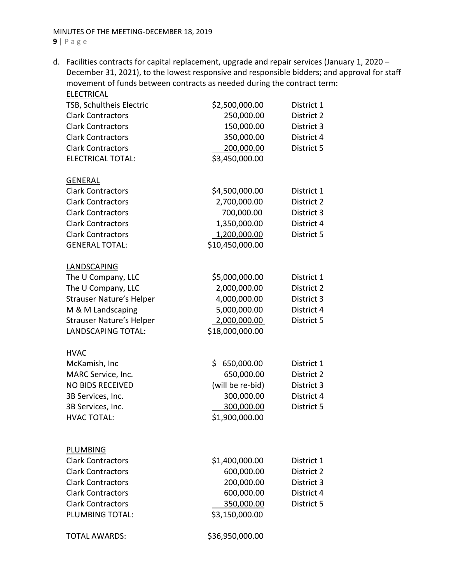d. Facilities contracts for capital replacement, upgrade and repair services (January 1, 2020 – December 31, 2021), to the lowest responsive and responsible bidders; and approval for staff movement of funds between contracts as needed during the contract term:

| <b>ELECTRICAL</b>                                    |                  |            |  |
|------------------------------------------------------|------------------|------------|--|
| TSB, Schultheis Electric                             | \$2,500,000.00   | District 1 |  |
| <b>Clark Contractors</b>                             | 250,000.00       | District 2 |  |
| <b>Clark Contractors</b>                             | 150,000.00       | District 3 |  |
| <b>Clark Contractors</b>                             | 350,000.00       | District 4 |  |
| <b>Clark Contractors</b>                             | 200,000.00       | District 5 |  |
| <b>ELECTRICAL TOTAL:</b>                             | \$3,450,000.00   |            |  |
|                                                      |                  |            |  |
| <b>GENERAL</b>                                       |                  |            |  |
| <b>Clark Contractors</b>                             | \$4,500,000.00   | District 1 |  |
| <b>Clark Contractors</b>                             | 2,700,000.00     | District 2 |  |
| <b>Clark Contractors</b>                             | 700,000.00       | District 3 |  |
| <b>Clark Contractors</b><br><b>Clark Contractors</b> | 1,350,000.00     | District 4 |  |
|                                                      | 1,200,000.00     | District 5 |  |
| <b>GENERAL TOTAL:</b>                                | \$10,450,000.00  |            |  |
| LANDSCAPING                                          |                  |            |  |
| The U Company, LLC                                   | \$5,000,000.00   | District 1 |  |
| The U Company, LLC                                   | 2,000,000.00     | District 2 |  |
| <b>Strauser Nature's Helper</b>                      | 4,000,000.00     | District 3 |  |
| M & M Landscaping                                    | 5,000,000.00     | District 4 |  |
| <b>Strauser Nature's Helper</b>                      | 2,000,000.00     | District 5 |  |
| <b>LANDSCAPING TOTAL:</b>                            | \$18,000,000.00  |            |  |
|                                                      |                  |            |  |
| <b>HVAC</b>                                          |                  |            |  |
| McKamish, Inc                                        | \$650,000.00     | District 1 |  |
| MARC Service, Inc.                                   | 650,000.00       | District 2 |  |
| <b>NO BIDS RECEIVED</b>                              | (will be re-bid) | District 3 |  |
| 3B Services, Inc.                                    | 300,000.00       | District 4 |  |
| 3B Services, Inc.<br><b>HVAC TOTAL:</b>              | 300,000.00       | District 5 |  |
|                                                      | \$1,900,000.00   |            |  |
|                                                      |                  |            |  |
| PLUMBING                                             |                  |            |  |
| <b>Clark Contractors</b>                             | \$1,400,000.00   | District 1 |  |
| <b>Clark Contractors</b>                             | 600,000.00       | District 2 |  |
| <b>Clark Contractors</b>                             | 200,000.00       | District 3 |  |
| <b>Clark Contractors</b>                             | 600,000.00       | District 4 |  |
| <b>Clark Contractors</b>                             | 350,000.00       | District 5 |  |
| PLUMBING TOTAL:                                      | \$3,150,000.00   |            |  |
| <b>TOTAL AWARDS:</b>                                 | \$36,950,000.00  |            |  |
|                                                      |                  |            |  |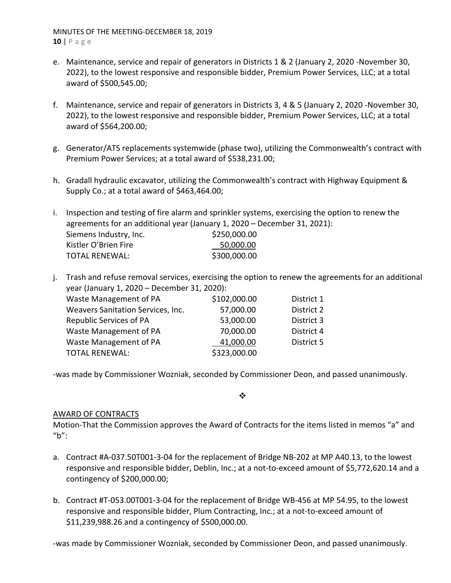MINUTES OF THE MEETING‐DECEMBER 18, 2019 **10** | Page

- e. Maintenance, service and repair of generators in Districts 1 & 2 (January 2, 2020 ‐November 30, 2022), to the lowest responsive and responsible bidder, Premium Power Services, LLC; at a total award of \$500,545.00;
- f. Maintenance, service and repair of generators in Districts 3, 4 & 5 (January 2, 2020 ‐November 30, 2022), to the lowest responsive and responsible bidder, Premium Power Services, LLC; at a total award of \$564,200.00;
- g. Generator/ATS replacements systemwide (phase two), utilizing the Commonwealth's contract with Premium Power Services; at a total award of \$538,231.00;
- h. Gradall hydraulic excavator, utilizing the Commonwealth's contract with Highway Equipment & Supply Co.; at a total award of \$463,464.00;

i. Inspection and testing of fire alarm and sprinkler systems, exercising the option to renew the agreements for an additional year (January 1, 2020 – December 31, 2021): Siemens Industry, Inc.  $$250,000.00$ Kistler O'Brien Fire 50,000.00 TOTAL RENEWAL: \$300,000.00

j. Trash and refuse removal services, exercising the option to renew the agreements for an additional year (January 1, 2020 – December 31, 2020):

| Waste Management of PA            | \$102,000.00 | District 1 |
|-----------------------------------|--------------|------------|
| Weavers Sanitation Services, Inc. | 57,000.00    | District 2 |
| <b>Republic Services of PA</b>    | 53,000.00    | District 3 |
| Waste Management of PA            | 70,000.00    | District 4 |
| Waste Management of PA            | 41,000.00    | District 5 |
| <b>TOTAL RENEWAL:</b>             | \$323,000.00 |            |
|                                   |              |            |

‐was made by Commissioner Wozniak, seconded by Commissioner Deon, and passed unanimously.

 $\frac{1}{2}$ 

## AWARD OF CONTRACTS

Motion‐That the Commission approves the Award of Contracts for the items listed in memos "a" and "b":

- a. Contract #A‐037.50T001‐3‐04 for the replacement of Bridge NB‐202 at MP A40.13, to the lowest responsive and responsible bidder, Deblin, Inc.; at a not‐to‐exceed amount of \$5,772,620.14 and a contingency of \$200,000.00;
- b. Contract #T‐053.00T001‐3‐04 for the replacement of Bridge WB‐456 at MP 54.95, to the lowest responsive and responsible bidder, Plum Contracting, Inc.; at a not‐to‐exceed amount of \$11,239,988.26 and a contingency of \$500,000.00.

‐was made by Commissioner Wozniak, seconded by Commissioner Deon, and passed unanimously.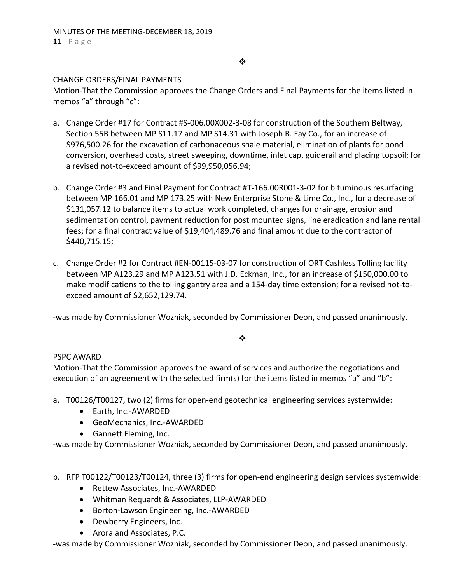#### $\frac{1}{2}$

#### CHANGE ORDERS/FINAL PAYMENTS

Motion‐That the Commission approves the Change Orders and Final Payments for the items listed in memos "a" through "c":

- a. Change Order #17 for Contract #S‐006.00X002‐3‐08 for construction of the Southern Beltway, Section 55B between MP S11.17 and MP S14.31 with Joseph B. Fay Co., for an increase of \$976,500.26 for the excavation of carbonaceous shale material, elimination of plants for pond conversion, overhead costs, street sweeping, downtime, inlet cap, guiderail and placing topsoil; for a revised not‐to‐exceed amount of \$99,950,056.94;
- b. Change Order #3 and Final Payment for Contract #T‐166.00R001‐3‐02 for bituminous resurfacing between MP 166.01 and MP 173.25 with New Enterprise Stone & Lime Co., Inc., for a decrease of \$131,057.12 to balance items to actual work completed, changes for drainage, erosion and sedimentation control, payment reduction for post mounted signs, line eradication and lane rental fees; for a final contract value of \$19,404,489.76 and final amount due to the contractor of \$440,715.15;
- c. Change Order #2 for Contract #EN‐00115‐03‐07 for construction of ORT Cashless Tolling facility between MP A123.29 and MP A123.51 with J.D. Eckman, Inc., for an increase of \$150,000.00 to make modifications to the tolling gantry area and a 154‐day time extension; for a revised not‐to‐ exceed amount of \$2,652,129.74.

‐was made by Commissioner Wozniak, seconded by Commissioner Deon, and passed unanimously.

#### ❖

## PSPC AWARD

Motion‐That the Commission approves the award of services and authorize the negotiations and execution of an agreement with the selected firm(s) for the items listed in memos "a" and "b":

- a. T00126/T00127, two (2) firms for open-end geotechnical engineering services systemwide:
	- Earth, Inc.-AWARDED
	- GeoMechanics, Inc.-AWARDED
	- Gannett Fleming, Inc.

‐was made by Commissioner Wozniak, seconded by Commissioner Deon, and passed unanimously.

- b. RFP T00122/T00123/T00124, three (3) firms for open‐end engineering design services systemwide:
	- Rettew Associates, Inc.-AWARDED
	- Whitman Requardt & Associates, LLP‐AWARDED
	- Borton-Lawson Engineering, Inc.-AWARDED
	- Dewberry Engineers, Inc.
	- Arora and Associates, P.C.

‐was made by Commissioner Wozniak, seconded by Commissioner Deon, and passed unanimously.